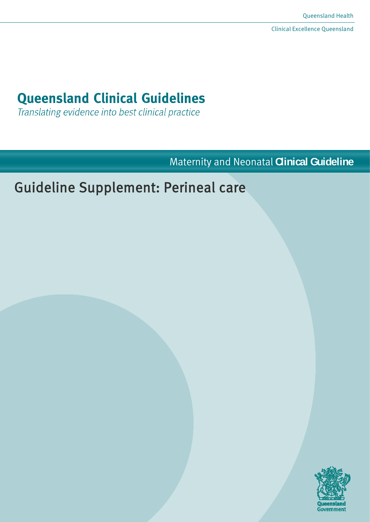# **Queensland Clinical Guidelines**

Translating evidence into best clinical practice

Maternity and Neonatal **Clinical Guideline**

# Guideline Supplement: Perineal care

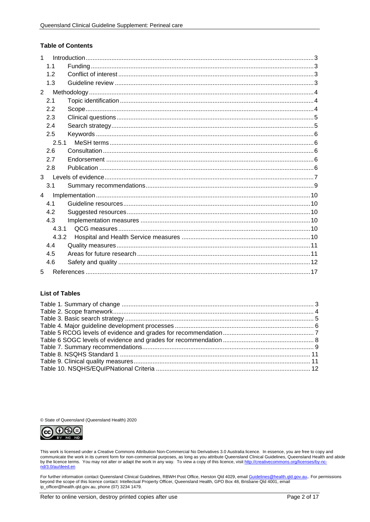#### **Table of Contents**

| 1              |       |  |
|----------------|-------|--|
|                | 1.1   |  |
|                | 1.2   |  |
|                | 1.3   |  |
| 2              |       |  |
|                | 2.1   |  |
|                | 2.2   |  |
|                | 2.3   |  |
|                | 2.4   |  |
|                | 2.5   |  |
|                | 2.5.1 |  |
|                | 2.6   |  |
|                | 2.7   |  |
|                | 2.8   |  |
| $\mathcal{R}$  |       |  |
|                | 3.1   |  |
| $\overline{4}$ |       |  |
|                | 4.1   |  |
|                | 4.2   |  |
|                | 4.3   |  |
|                | 4.3.1 |  |
|                | 4.3.2 |  |
|                | 4.4   |  |
|                | 4.5   |  |
|                | 4.6   |  |
| 5              |       |  |

#### **List of Tables**

© State of Queensland (Queensland Health) 2020



This work is licensed under a Creative Commons Attribution Non-Commercial No Derivatives 3.0 Australia licence. In essence, you are free to copy and communicate the work in its current form for non-commercial purposes, as long as you attribute Queensland Clinical Guidelines, Queensland Health and abide<br>by the licence terms. You may not alter or adapt the work in any wa

For further information contact Queensland Clinical Guidelines, RBWH Post Office, Herston Qld 4029, email Guidelines@health.qld.gov.au,. For permissions beyond the scope of this licence contact: Intellectual Property Officer, Queensland Health, GPO Box 48, Brisbane Qld 4001, email ip\_officer@health.qld.gov.au, phone (07) 3234 1479.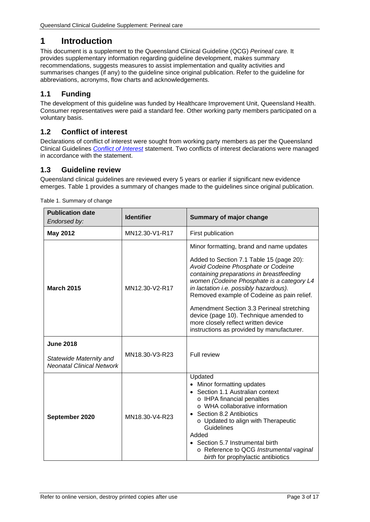# <span id="page-2-0"></span>**1 Introduction**

This document is a supplement to the Queensland Clinical Guideline (QCG) *Perineal care.* It provides supplementary information regarding guideline development, makes summary recommendations, suggests measures to assist implementation and quality activities and summarises changes (if any) to the guideline since original publication. Refer to the guideline for abbreviations, acronyms, flow charts and acknowledgements.

# <span id="page-2-1"></span>**1.1 Funding**

The development of this guideline was funded by Healthcare Improvement Unit, Queensland Health. Consumer representatives were paid a standard fee. Other working party members participated on a voluntary basis.

# <span id="page-2-2"></span>**1.2 Conflict of interest**

Declarations of conflict of interest were sought from working party members as per the Queensland Clinical Guidelines *[Conflict of Interest](http://www.health.qld.gov.au/qcg/documents/o_conflict1-0.pdf)* statement. Two conflicts of interest declarations were managed in accordance with the statement.

# <span id="page-2-3"></span>**1.3 Guideline review**

Queensland clinical guidelines are reviewed every 5 years or earlier if significant new evidence emerges. [Table 1](#page-2-4) provides a summary of changes made to the guidelines since original publication.

| <b>Publication date</b><br>Endorsed by:                                         | <b>Identifier</b> | <b>Summary of major change</b>                                                                                                                                                                                                                                                                                                                                                                                                                                                         |
|---------------------------------------------------------------------------------|-------------------|----------------------------------------------------------------------------------------------------------------------------------------------------------------------------------------------------------------------------------------------------------------------------------------------------------------------------------------------------------------------------------------------------------------------------------------------------------------------------------------|
| <b>May 2012</b>                                                                 | MN12.30-V1-R17    | First publication                                                                                                                                                                                                                                                                                                                                                                                                                                                                      |
| <b>March 2015</b>                                                               | MN12.30-V2-R17    | Minor formatting, brand and name updates<br>Added to Section 7.1 Table 15 (page 20):<br>Avoid Codeine Phosphate or Codeine<br>containing preparations in breastfeeding<br>women (Codeine Phosphate is a category L4<br>in lactation i.e. possibly hazardous).<br>Removed example of Codeine as pain relief.<br>Amendment Section 3.3 Perineal stretching<br>device (page 10). Technique amended to<br>more closely reflect written device<br>instructions as provided by manufacturer. |
| <b>June 2018</b><br>Statewide Maternity and<br><b>Neonatal Clinical Network</b> | MN18.30-V3-R23    | Full review                                                                                                                                                                                                                                                                                                                                                                                                                                                                            |
| September 2020                                                                  | MN18.30-V4-R23    | Updated<br>• Minor formatting updates<br>• Section 1.1 Australian context<br>o IHPA financial penalties<br>o WHA collaborative information<br>Section 8.2 Antibiotics<br>o Updated to align with Therapeutic<br>Guidelines<br>Added<br>• Section 5.7 Instrumental birth<br>o Reference to QCG Instrumental vaginal<br>birth for prophylactic antibiotics                                                                                                                               |

<span id="page-2-4"></span>Table 1. Summary of change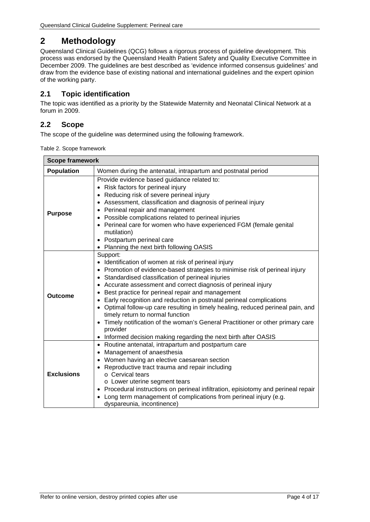# <span id="page-3-0"></span>**2 Methodology**

Queensland Clinical Guidelines (QCG) follows a rigorous process of guideline development. This process was endorsed by the Queensland Health Patient Safety and Quality Executive Committee in December 2009. The guidelines are best described as 'evidence informed consensus guidelines' and draw from the evidence base of existing national and international guidelines and the expert opinion of the working party.

# <span id="page-3-1"></span>**2.1 Topic identification**

The topic was identified as a priority by the Statewide Maternity and Neonatal Clinical Network at a forum in 2009.

# <span id="page-3-2"></span>**2.2 Scope**

<span id="page-3-3"></span>The scope of the guideline was determined using the following framework.

|  | Table 2. Scope framework |
|--|--------------------------|
|--|--------------------------|

| <b>Scope framework</b>                                                            |                                                                                                                                                                                                                                                                                                                                                                                                                                                                                                                                                                                                                                                                                               |  |  |  |  |  |
|-----------------------------------------------------------------------------------|-----------------------------------------------------------------------------------------------------------------------------------------------------------------------------------------------------------------------------------------------------------------------------------------------------------------------------------------------------------------------------------------------------------------------------------------------------------------------------------------------------------------------------------------------------------------------------------------------------------------------------------------------------------------------------------------------|--|--|--|--|--|
| <b>Population</b><br>Women during the antenatal, intrapartum and postnatal period |                                                                                                                                                                                                                                                                                                                                                                                                                                                                                                                                                                                                                                                                                               |  |  |  |  |  |
| <b>Purpose</b>                                                                    | Provide evidence based guidance related to:<br>• Risk factors for perineal injury<br>Reducing risk of severe perineal injury<br>• Assessment, classification and diagnosis of perineal injury<br>Perineal repair and management<br>• Possible complications related to perineal injuries<br>Perineal care for women who have experienced FGM (female genital<br>mutilation)<br>• Postpartum perineal care<br>• Planning the next birth following OASIS                                                                                                                                                                                                                                        |  |  |  |  |  |
| Outcome                                                                           | Support:<br>• Identification of women at risk of perineal injury<br>• Promotion of evidence-based strategies to minimise risk of perineal injury<br>• Standardised classification of perineal injuries<br>• Accurate assessment and correct diagnosis of perineal injury<br>Best practice for perineal repair and management<br>• Early recognition and reduction in postnatal perineal complications<br>• Optimal follow-up care resulting in timely healing, reduced perineal pain, and<br>timely return to normal function<br>• Timely notification of the woman's General Practitioner or other primary care<br>provider<br>Informed decision making regarding the next birth after OASIS |  |  |  |  |  |
| <b>Exclusions</b>                                                                 | • Routine antenatal, intrapartum and postpartum care<br>Management of anaesthesia<br>• Women having an elective caesarean section<br>Reproductive tract trauma and repair including<br>o Cervical tears<br>o Lower uterine segment tears<br>Procedural instructions on perineal infiltration, episiotomy and perineal repair<br>Long term management of complications from perineal injury (e.g.<br>dyspareunia, incontinence)                                                                                                                                                                                                                                                                |  |  |  |  |  |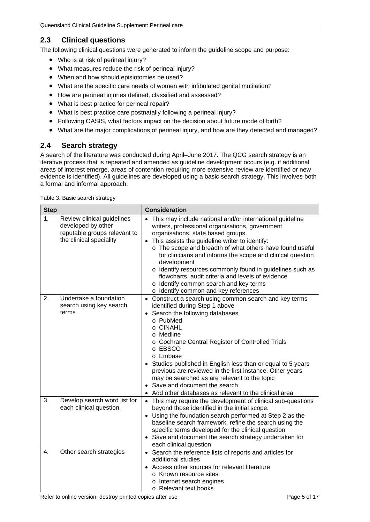## <span id="page-4-0"></span>**2.3 Clinical questions**

The following clinical questions were generated to inform the guideline scope and purpose:

- Who is at risk of perineal injury?
- What measures reduce the risk of perineal injury?
- When and how should episiotomies be used?
- What are the specific care needs of women with infibulated genital mutilation?
- How are perineal injuries defined, classified and assessed?
- What is best practice for perineal repair?
- What is best practice care postnatally following a perineal injury?
- Following OASIS, what factors impact on the decision about future mode of birth?
- What are the major complications of perineal injury, and how are they detected and managed?

## <span id="page-4-1"></span>**2.4 Search strategy**

A search of the literature was conducted during April–June 2017. The QCG search strategy is an iterative process that is repeated and amended as guideline development occurs (e.g. if additional areas of interest emerge, areas of contention requiring more extensive review are identified or new evidence is identified). All guidelines are developed using a basic search strategy. This involves both a formal and informal approach.

<span id="page-4-2"></span>

|  |  |  | Table 3. Basic search strategy |
|--|--|--|--------------------------------|
|--|--|--|--------------------------------|

| <b>Step</b>      |                                                                                                             | <b>Consideration</b>                                                                                                                                                                                                                                                                                                                                                                                                                                                                                                                                                       |  |  |
|------------------|-------------------------------------------------------------------------------------------------------------|----------------------------------------------------------------------------------------------------------------------------------------------------------------------------------------------------------------------------------------------------------------------------------------------------------------------------------------------------------------------------------------------------------------------------------------------------------------------------------------------------------------------------------------------------------------------------|--|--|
| 1.               | Review clinical guidelines<br>developed by other<br>reputable groups relevant to<br>the clinical speciality | This may include national and/or international guideline<br>$\bullet$<br>writers, professional organisations, government<br>organisations, state based groups.<br>This assists the guideline writer to identify:<br>$\bullet$<br>o The scope and breadth of what others have found useful<br>for clinicians and informs the scope and clinical question<br>development<br>o Identify resources commonly found in guidelines such as<br>flowcharts, audit criteria and levels of evidence<br>o Identify common search and key terms<br>o Identify common and key references |  |  |
| 2.               | Undertake a foundation<br>search using key search<br>terms                                                  | • Construct a search using common search and key terms<br>identified during Step 1 above<br>Search the following databases<br>$\bullet$<br>o PubMed<br>o CINAHL<br>o Medline<br>o Cochrane Central Register of Controlled Trials<br>o EBSCO<br>o Embase<br>Studies published in English less than or equal to 5 years<br>previous are reviewed in the first instance. Other years<br>may be searched as are relevant to the topic<br>• Save and document the search<br>Add other databases as relevant to the clinical area                                                |  |  |
| 3.               | Develop search word list for<br>each clinical question.                                                     | • This may require the development of clinical sub-questions<br>beyond those identified in the initial scope.<br>• Using the foundation search performed at Step 2 as the<br>baseline search framework, refine the search using the<br>specific terms developed for the clinical question<br>• Save and document the search strategy undertaken for<br>each clinical question                                                                                                                                                                                              |  |  |
| $\overline{4}$ . | Other search strategies                                                                                     | • Search the reference lists of reports and articles for<br>additional studies<br>Access other sources for relevant literature<br>o Known resource sites<br>o Internet search engines<br>o Relevant text books                                                                                                                                                                                                                                                                                                                                                             |  |  |

Refer to online version, destroy printed copies after use Page 1988 and Separate Rege 5 of 17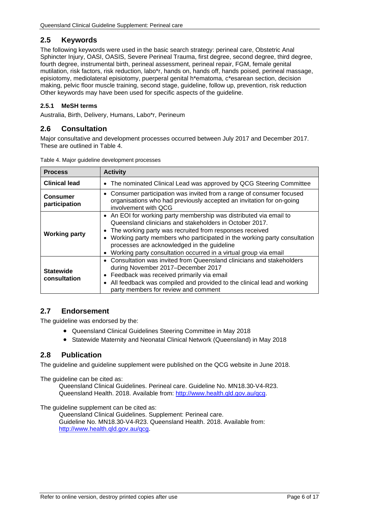## <span id="page-5-0"></span>**2.5 Keywords**

The following keywords were used in the basic search strategy: perineal care, Obstetric Anal Sphincter Injury, OASI, OASIS, Severe Perineal Trauma, first degree, second degree, third degree, fourth degree, instrumental birth, perineal assessment, perineal repair, FGM, female genital mutilation, risk factors, risk reduction, labo\*r, hands on, hands off, hands poised, perineal massage, episiotomy, mediolateral episiotomy, puerperal genital h\*ematoma, c\*esarean section, decision making, pelvic floor muscle training, second stage, guideline, follow up, prevention, risk reduction Other keywords may have been used for specific aspects of the guideline.

#### <span id="page-5-1"></span>**2.5.1 MeSH terms**

<span id="page-5-2"></span>Australia, Birth, Delivery, Humans, Labo\*r, Perineum

### **2.6 Consultation**

Major consultative and development processes occurred between July 2017 and December 2017. These are outlined in [Table 4.](#page-5-5)

| <b>Process</b>                   | <b>Activity</b>                                                                                                                                                                                                                                                                                                                                                                                                   |
|----------------------------------|-------------------------------------------------------------------------------------------------------------------------------------------------------------------------------------------------------------------------------------------------------------------------------------------------------------------------------------------------------------------------------------------------------------------|
| <b>Clinical lead</b>             | The nominated Clinical Lead was approved by QCG Steering Committee<br>$\bullet$                                                                                                                                                                                                                                                                                                                                   |
| <b>Consumer</b><br>participation | • Consumer participation was invited from a range of consumer focused<br>organisations who had previously accepted an invitation for on-going<br>involvement with OCG                                                                                                                                                                                                                                             |
| <b>Working party</b>             | • An EOI for working party membership was distributed via email to<br>Queensland clinicians and stakeholders in October 2017.<br>The working party was recruited from responses received<br>$\bullet$<br>Working party members who participated in the working party consultation<br>processes are acknowledged in the guideline<br>Working party consultation occurred in a virtual group via email<br>$\bullet$ |
| <b>Statewide</b><br>consultation | • Consultation was invited from Queensland clinicians and stakeholders<br>during November 2017-December 2017<br>Feedback was received primarily via email<br>٠<br>All feedback was compiled and provided to the clinical lead and working<br>$\bullet$<br>party members for review and comment                                                                                                                    |

<span id="page-5-5"></span>Table 4. Major guideline development processes

## <span id="page-5-3"></span>**2.7 Endorsement**

The guideline was endorsed by the:

- Queensland Clinical Guidelines Steering Committee in May 2018
- Statewide Maternity and Neonatal Clinical Network (Queensland) in May 2018

#### <span id="page-5-4"></span>**2.8 Publication**

The guideline and guideline supplement were published on the QCG website in June 2018.

The guideline can be cited as:

Queensland Clinical Guidelines. Perineal care. Guideline No. MN18.30-V4-R23. Queensland Health. 2018. Available from: [http://www.health.qld.gov.au/qcg.](http://www.health.qld.gov.au/qcg)

The quideline supplement can be cited as:

Queensland Clinical Guidelines. Supplement: Perineal care. Guideline No. MN18.30-V4-R23. Queensland Health. 2018. Available from: [http://www.health.qld.gov.au/qcg.](http://www.health.qld.gov.au/qcg)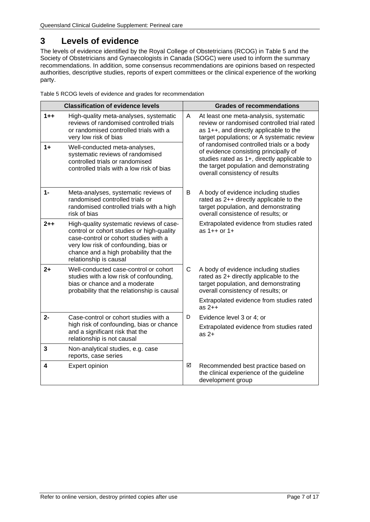# <span id="page-6-0"></span>**3 Levels of evidence**

The levels of evidence identified by the Royal College of Obstetricians (RCOG) in [Table 5](#page-6-1) and the Society of Obstetricians and Gynaecologists in Canada (SOGC) were used to inform the summary recommendations. In addition, some consensus recommendations are opinions based on respected authorities, descriptive studies, reports of expert committees or the clinical experience of the working party.

<span id="page-6-1"></span>Table 5 RCOG levels of evidence and grades for recommendation

|         | <b>Classification of evidence levels</b>                                                                                                                                                                                                    |              | <b>Grades of recommendations</b>                                                                                                                                                                                     |
|---------|---------------------------------------------------------------------------------------------------------------------------------------------------------------------------------------------------------------------------------------------|--------------|----------------------------------------------------------------------------------------------------------------------------------------------------------------------------------------------------------------------|
| $1 + +$ | High-quality meta-analyses, systematic<br>reviews of randomised controlled trials<br>or randomised controlled trials with a<br>very low risk of bias                                                                                        | A            | At least one meta-analysis, systematic<br>review or randomised controlled trial rated<br>as 1++, and directly applicable to the<br>target populations; or A systematic review                                        |
| $1+$    | Well-conducted meta-analyses,<br>systematic reviews of randomised<br>controlled trials or randomised<br>controlled trials with a low risk of bias                                                                                           |              | of randomised controlled trials or a body<br>of evidence consisting principally of<br>studies rated as 1+, directly applicable to<br>the target population and demonstrating<br>overall consistency of results       |
| $1 -$   | Meta-analyses, systematic reviews of<br>randomised controlled trials or<br>randomised controlled trials with a high<br>risk of bias                                                                                                         | B            | A body of evidence including studies<br>rated as 2++ directly applicable to the<br>target population, and demonstrating<br>overall consistence of results; or                                                        |
| $2 + +$ | High-quality systematic reviews of case-<br>control or cohort studies or high-quality<br>case-control or cohort studies with a<br>very low risk of confounding, bias or<br>chance and a high probability that the<br>relationship is causal |              | Extrapolated evidence from studies rated<br>as $1++$ or $1+$                                                                                                                                                         |
| $2+$    | Well-conducted case-control or cohort<br>studies with a low risk of confounding,<br>bias or chance and a moderate<br>probability that the relationship is causal                                                                            | $\mathsf{C}$ | A body of evidence including studies<br>rated as 2+ directly applicable to the<br>target population, and demonstrating<br>overall consistency of results; or<br>Extrapolated evidence from studies rated<br>as $2++$ |
| $2-$    | Case-control or cohort studies with a<br>high risk of confounding, bias or chance<br>and a significant risk that the<br>relationship is not causal                                                                                          | D            | Evidence level 3 or 4; or<br>Extrapolated evidence from studies rated<br>as $2+$                                                                                                                                     |
| 3       | Non-analytical studies, e.g. case<br>reports, case series                                                                                                                                                                                   |              |                                                                                                                                                                                                                      |
| 4       | Expert opinion                                                                                                                                                                                                                              | ☑            | Recommended best practice based on<br>the clinical experience of the guideline<br>development group                                                                                                                  |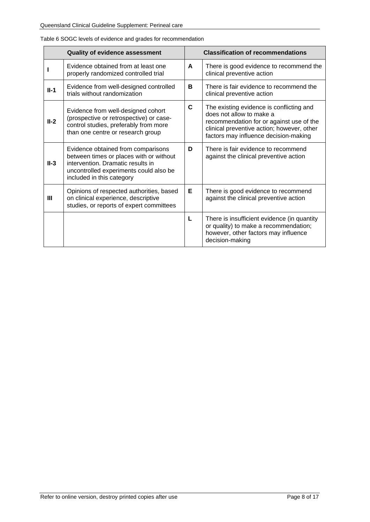|        | <b>Quality of evidence assessment</b>                                                                                                                                                     |   | <b>Classification of recommendations</b>                                                                                                                                                                |
|--------|-------------------------------------------------------------------------------------------------------------------------------------------------------------------------------------------|---|---------------------------------------------------------------------------------------------------------------------------------------------------------------------------------------------------------|
|        | Evidence obtained from at least one<br>properly randomized controlled trial                                                                                                               | A | There is good evidence to recommend the<br>clinical preventive action                                                                                                                                   |
| $II-1$ | Evidence from well-designed controlled<br>trials without randomization                                                                                                                    | B | There is fair evidence to recommend the<br>clinical preventive action                                                                                                                                   |
| $II-2$ | Evidence from well-designed cohort<br>(prospective or retrospective) or case-<br>control studies, preferably from more<br>than one centre or research group                               | C | The existing evidence is conflicting and<br>does not allow to make a<br>recommendation for or against use of the<br>clinical preventive action; however, other<br>factors may influence decision-making |
| $II-3$ | Evidence obtained from comparisons<br>between times or places with or without<br>intervention. Dramatic results in<br>uncontrolled experiments could also be<br>included in this category | D | There is fair evidence to recommend<br>against the clinical preventive action                                                                                                                           |
| Ш      | Opinions of respected authorities, based<br>on clinical experience, descriptive<br>studies, or reports of expert committees                                                               | Е | There is good evidence to recommend<br>against the clinical preventive action                                                                                                                           |
|        |                                                                                                                                                                                           | L | There is insufficient evidence (in quantity<br>or quality) to make a recommendation;<br>however, other factors may influence<br>decision-making                                                         |

<span id="page-7-0"></span>Table 6 SOGC levels of evidence and grades for recommendation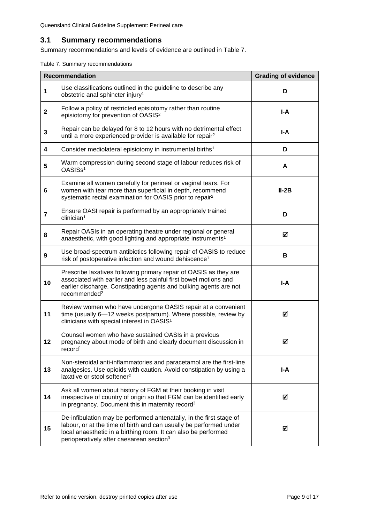#### <span id="page-8-0"></span>**3.1 Summary recommendations**

Summary recommendations and levels of evidence are outlined in [Table 7.](#page-8-1)

<span id="page-8-1"></span>Table 7. Summary recommendations

|                | <b>Recommendation</b>                                                                                                                                                                                                                                               | <b>Grading of evidence</b> |
|----------------|---------------------------------------------------------------------------------------------------------------------------------------------------------------------------------------------------------------------------------------------------------------------|----------------------------|
| 1              | Use classifications outlined in the guideline to describe any<br>obstetric anal sphincter injury <sup>1</sup>                                                                                                                                                       | D                          |
| $\mathbf 2$    | Follow a policy of restricted episiotomy rather than routine<br>I-A<br>episiotomy for prevention of OASIS <sup>2</sup>                                                                                                                                              |                            |
| 3              | Repair can be delayed for 8 to 12 hours with no detrimental effect<br>until a more experienced provider is available for repair <sup>2</sup>                                                                                                                        | I-A                        |
| 4              | Consider mediolateral episiotomy in instrumental births <sup>1</sup>                                                                                                                                                                                                | D                          |
| 5              | Warm compression during second stage of labour reduces risk of<br>OASISs <sup>1</sup>                                                                                                                                                                               | A                          |
| 6              | Examine all women carefully for perineal or vaginal tears. For<br>women with tear more than superficial in depth, recommend<br>systematic rectal examination for OASIS prior to repair <sup>2</sup>                                                                 | $II-2B$                    |
| $\overline{7}$ | Ensure OASI repair is performed by an appropriately trained<br>clinician <sup>1</sup>                                                                                                                                                                               | D                          |
| 8              | Repair OASIs in an operating theatre under regional or general<br>anaesthetic, with good lighting and appropriate instruments <sup>1</sup>                                                                                                                          | ☑                          |
| 9              | Use broad-spectrum antibiotics following repair of OASIS to reduce<br>risk of postoperative infection and wound dehiscence <sup>1</sup>                                                                                                                             | В                          |
| 10             | Prescribe laxatives following primary repair of OASIS as they are<br>associated with earlier and less painful first bowel motions and<br>earlier discharge. Constipating agents and bulking agents are not<br>recommended <sup>2</sup>                              | I-A                        |
| 11             | Review women who have undergone OASIS repair at a convenient<br>time (usually 6-12 weeks postpartum). Where possible, review by<br>clinicians with special interest in OASIS <sup>1</sup>                                                                           | ☑                          |
| 12             | Counsel women who have sustained OASIs in a previous<br>pregnancy about mode of birth and clearly document discussion in<br>record <sup>1</sup>                                                                                                                     | ☑                          |
| 13             | Non-steroidal anti-inflammatories and paracetamol are the first-line<br>analgesics. Use opioids with caution. Avoid constipation by using a<br>laxative or stool softener <sup>2</sup>                                                                              | I-A                        |
| 14             | Ask all women about history of FGM at their booking in visit<br>irrespective of country of origin so that FGM can be identified early<br>in pregnancy. Document this in maternity record <sup>3</sup>                                                               | ☑                          |
| 15             | De-infibulation may be performed antenatally, in the first stage of<br>labour, or at the time of birth and can usually be performed under<br>local anaesthetic in a birthing room. It can also be performed<br>perioperatively after caesarean section <sup>3</sup> | ☑                          |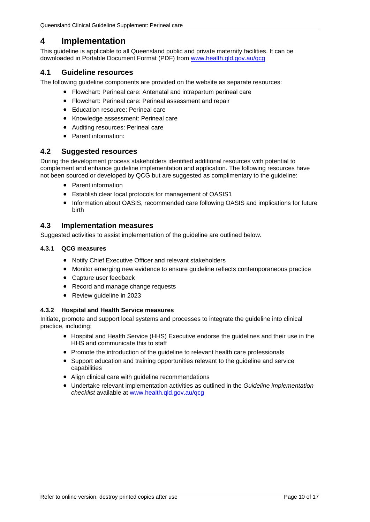# <span id="page-9-0"></span>**4 Implementation**

This guideline is applicable to all Queensland public and private maternity facilities. It can be downloaded in Portable Document Format (PDF) from [www.health.qld.gov.au/qcg](http://www.health.qld.gov.au/qcg)

### <span id="page-9-1"></span>**4.1 Guideline resources**

The following guideline components are provided on the website as separate resources:

- Flowchart: Perineal care: Antenatal and intrapartum perineal care
- Flowchart: Perineal care: Perineal assessment and repair
- Education resource: Perineal care
- Knowledge assessment: Perineal care
- Auditing resources: Perineal care
- Parent information:

#### <span id="page-9-2"></span>**4.2 Suggested resources**

During the development process stakeholders identified additional resources with potential to complement and enhance guideline implementation and application. The following resources have not been sourced or developed by QCG but are suggested as complimentary to the guideline:

- Parent information
- Establish clear local protocols for management of OASIS1
- Information about OASIS, recommended care following OASIS and implications for future birth

#### <span id="page-9-3"></span>**4.3 Implementation measures**

Suggested activities to assist implementation of the guideline are outlined below.

#### <span id="page-9-4"></span>**4.3.1 QCG measures**

- Notify Chief Executive Officer and relevant stakeholders
- Monitor emerging new evidence to ensure guideline reflects contemporaneous practice
- Capture user feedback
- Record and manage change requests
- Review quideline in 2023

#### <span id="page-9-5"></span>**4.3.2 Hospital and Health Service measures**

Initiate, promote and support local systems and processes to integrate the guideline into clinical practice, including:

- Hospital and Health Service (HHS) Executive endorse the guidelines and their use in the HHS and communicate this to staff
- Promote the introduction of the guideline to relevant health care professionals
- Support education and training opportunities relevant to the guideline and service capabilities
- Align clinical care with guideline recommendations
- Undertake relevant implementation activities as outlined in the *Guideline implementation checklist* available at [www.health.qld.gov.au/qcg](http://www.health.qld.gov.au/qcg)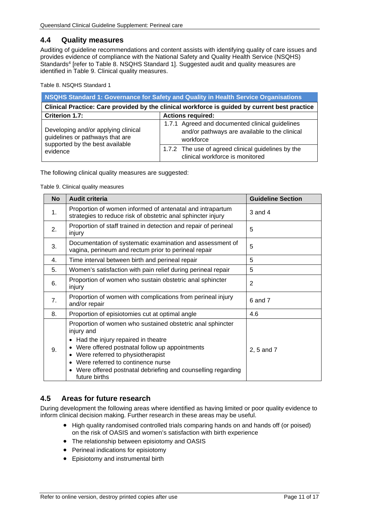#### <span id="page-10-0"></span>**4.4 Quality measures**

Auditing of guideline recommendations and content assists with identifying quality of care issues and provides evidence of compliance with the National Safety and Quality Health Service (NSQHS) Standards<sup>4</sup> [refer to [Table 8.](#page-10-2) [NSQHS Standard 1\].](#page-10-4) Suggested audit and quality measures are identified in [Table 9. Clinical quality measures.](#page-10-3)

<span id="page-10-4"></span><span id="page-10-2"></span>Table 8. NSQHS Standard 1

| NSQHS Standard 1: Governance for Safety and Quality in Health Service Organisations           |                                                                                                               |  |  |
|-----------------------------------------------------------------------------------------------|---------------------------------------------------------------------------------------------------------------|--|--|
| Clinical Practice: Care provided by the clinical workforce is guided by current best practice |                                                                                                               |  |  |
| <b>Criterion 1.7:</b>                                                                         | <b>Actions required:</b>                                                                                      |  |  |
| Developing and/or applying clinical<br>guidelines or pathways that are                        | 1.7.1 Agreed and documented clinical guidelines<br>and/or pathways are available to the clinical<br>workforce |  |  |
| supported by the best available<br>evidence                                                   | 1.7.2 The use of agreed clinical guidelines by the<br>clinical workforce is monitored                         |  |  |

<span id="page-10-3"></span>The following clinical quality measures are suggested:

Table 9. Clinical quality measures

| <b>No</b> | <b>Audit criteria</b>                                                                                                                                                                                                                                                                                                          | <b>Guideline Section</b> |
|-----------|--------------------------------------------------------------------------------------------------------------------------------------------------------------------------------------------------------------------------------------------------------------------------------------------------------------------------------|--------------------------|
| 1.        | Proportion of women informed of antenatal and intrapartum<br>strategies to reduce risk of obstetric anal sphincter injury                                                                                                                                                                                                      | 3 and 4                  |
| 2.        | Proportion of staff trained in detection and repair of perineal<br>injury                                                                                                                                                                                                                                                      | 5                        |
| 3.        | Documentation of systematic examination and assessment of<br>vagina, perineum and rectum prior to perineal repair                                                                                                                                                                                                              | 5                        |
| 4.        | Time interval between birth and perineal repair                                                                                                                                                                                                                                                                                | 5                        |
| 5.        | Women's satisfaction with pain relief during perineal repair                                                                                                                                                                                                                                                                   | 5                        |
| 6.        | Proportion of women who sustain obstetric anal sphincter<br>injury                                                                                                                                                                                                                                                             | $\overline{2}$           |
| 7.        | Proportion of women with complications from perineal injury<br>and/or repair                                                                                                                                                                                                                                                   | 6 and 7                  |
| 8.        | Proportion of episiotomies cut at optimal angle                                                                                                                                                                                                                                                                                | 4.6                      |
| 9.        | Proportion of women who sustained obstetric anal sphincter<br>injury and<br>• Had the injury repaired in theatre<br>Were offered postnatal follow up appointments<br>• Were referred to physiotherapist<br>Were referred to continence nurse<br>• Were offered postnatal debriefing and counselling regarding<br>future births | 2, 5 and 7               |

## <span id="page-10-1"></span>**4.5 Areas for future research**

During development the following areas where identified as having limited or poor quality evidence to inform clinical decision making. Further research in these areas may be useful.

- High quality randomised controlled trials comparing hands on and hands off (or poised) on the risk of OASIS and women's satisfaction with birth experience
- The relationship between episiotomy and OASIS
- Perineal indications for episiotomy
- Episiotomy and instrumental birth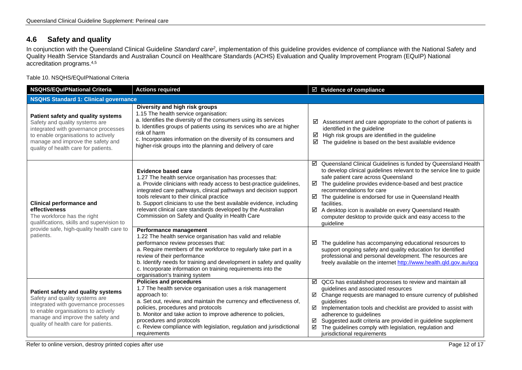# **4.6 Safety and quality**

In conjunction with the Queensland Clinical Guideline *Standard care2*, implementation of this guideline provides evidence of compliance with the National Safety and Quality Health Service Standards and Australian Council on Healthcare Standards (ACHS) Evaluation and Quality Improvement Program (EQuIP) National accreditation programs. 4,5

Table 10. NSQHS/EQuIPNational Criteria

<span id="page-11-1"></span><span id="page-11-0"></span>

| <b>NSQHS/EQuIPNational Criteria</b>                                                                                                                                                                                              | <b>Actions required</b>                                                                                                                                                                                                                                                                                                                                                                                                                                                   | $\boxtimes$ Evidence of compliance                                                                                                                                                                                                                                                                                                                                                                                                                                                                      |  |  |  |
|----------------------------------------------------------------------------------------------------------------------------------------------------------------------------------------------------------------------------------|---------------------------------------------------------------------------------------------------------------------------------------------------------------------------------------------------------------------------------------------------------------------------------------------------------------------------------------------------------------------------------------------------------------------------------------------------------------------------|---------------------------------------------------------------------------------------------------------------------------------------------------------------------------------------------------------------------------------------------------------------------------------------------------------------------------------------------------------------------------------------------------------------------------------------------------------------------------------------------------------|--|--|--|
| <b>NSQHS Standard 1: Clinical governance</b>                                                                                                                                                                                     |                                                                                                                                                                                                                                                                                                                                                                                                                                                                           |                                                                                                                                                                                                                                                                                                                                                                                                                                                                                                         |  |  |  |
| Patient safety and quality systems<br>Safety and quality systems are<br>integrated with governance processes<br>to enable organisations to actively<br>manage and improve the safety and<br>quality of health care for patients. | Diversity and high risk groups<br>1.15 The health service organisation:<br>a. Identifies the diversity of the consumers using its services<br>b. Identifies groups of patients using its services who are at higher<br>risk of harm<br>c. Incorporates information on the diversity of its consumers and<br>higher-risk groups into the planning and delivery of care                                                                                                     | ☑<br>Assessment and care appropriate to the cohort of patients is<br>identified in the guideline<br>High risk groups are identified in the guideline<br>☑<br>☑<br>The guideline is based on the best available evidence                                                                                                                                                                                                                                                                                 |  |  |  |
| <b>Clinical performance and</b><br>effectiveness<br>The workforce has the right<br>qualifications, skills and supervision to                                                                                                     | <b>Evidence based care</b><br>1.27 The health service organisation has processes that:<br>a. Provide clinicians with ready access to best-practice guidelines,<br>integrated care pathways, clinical pathways and decision support<br>tools relevant to their clinical practice<br>b. Support clinicians to use the best available evidence, including<br>relevant clinical care standards developed by the Australian<br>Commission on Safety and Quality in Health Care | ☑ Queensland Clinical Guidelines is funded by Queensland Health<br>to develop clinical guidelines relevant to the service line to guide<br>safe patient care across Queensland<br>The guideline provides evidence-based and best practice<br>☑<br>recommendations for care<br>$\boxtimes$ The guideline is endorsed for use in Queensland Health<br>facilities.<br>☑<br>A desktop icon is available on every Queensland Health<br>computer desktop to provide quick and easy access to the<br>quideline |  |  |  |
| provide safe, high-quality health care to<br>patients.                                                                                                                                                                           | Performance management<br>1.22 The health service organisation has valid and reliable<br>performance review processes that:<br>a. Require members of the workforce to regularly take part in a<br>review of their performance<br>b. Identify needs for training and development in safety and quality<br>c. Incorporate information on training requirements into the<br>organisation's training system                                                                   | The guideline has accompanying educational resources to<br>☑<br>support ongoing safety and quality education for identified<br>professional and personal development. The resources are<br>freely available on the internet http://www.health.qld.gov.au/qcg                                                                                                                                                                                                                                            |  |  |  |
| Patient safety and quality systems<br>Safety and quality systems are<br>integrated with governance processes<br>to enable organisations to actively<br>manage and improve the safety and<br>quality of health care for patients. | <b>Policies and procedures</b><br>1.7 The health service organisation uses a risk management<br>approach to:<br>a. Set out, review, and maintain the currency and effectiveness of,<br>policies, procedures and protocols<br>b. Monitor and take action to improve adherence to policies,<br>procedures and protocols<br>c. Review compliance with legislation, regulation and jurisdictional<br>requirements                                                             | $\boxtimes$ QCG has established processes to review and maintain all<br>guidelines and associated resources<br>☑ Change requests are managed to ensure currency of published<br>quidelines<br>Implementation tools and checklist are provided to assist with<br>☑<br>adherence to guidelines<br>Suggested audit criteria are provided in guideline supplement<br>☑<br>The guidelines comply with legislation, regulation and<br>☑<br>jurisdictional requirements                                        |  |  |  |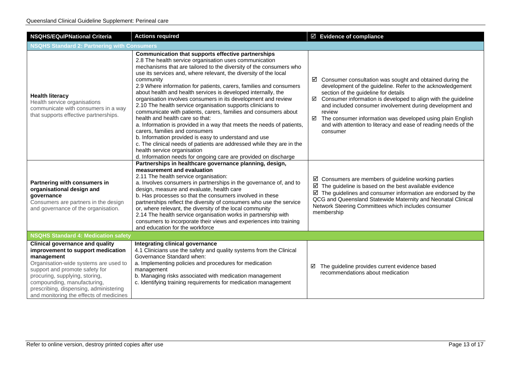| <b>NSQHS/EQulPNational Criteria</b>                                                                                                                                                                                                                                                                                        | <b>Actions required</b>                                                                                                                                                                                                                                                                                                                                                                                                                                                                                                                                                                                                                                                                                                                                                                                                                                                                                                                                                                         | ☑ Evidence of compliance                                                                                                                                                                                                                                                                                                                                                                                                                                                               |  |  |
|----------------------------------------------------------------------------------------------------------------------------------------------------------------------------------------------------------------------------------------------------------------------------------------------------------------------------|-------------------------------------------------------------------------------------------------------------------------------------------------------------------------------------------------------------------------------------------------------------------------------------------------------------------------------------------------------------------------------------------------------------------------------------------------------------------------------------------------------------------------------------------------------------------------------------------------------------------------------------------------------------------------------------------------------------------------------------------------------------------------------------------------------------------------------------------------------------------------------------------------------------------------------------------------------------------------------------------------|----------------------------------------------------------------------------------------------------------------------------------------------------------------------------------------------------------------------------------------------------------------------------------------------------------------------------------------------------------------------------------------------------------------------------------------------------------------------------------------|--|--|
| <b>NSQHS Standard 2: Partnering with Consumers</b>                                                                                                                                                                                                                                                                         |                                                                                                                                                                                                                                                                                                                                                                                                                                                                                                                                                                                                                                                                                                                                                                                                                                                                                                                                                                                                 |                                                                                                                                                                                                                                                                                                                                                                                                                                                                                        |  |  |
| <b>Health literacy</b><br>Health service organisations<br>communicate with consumers in a way<br>that supports effective partnerships.                                                                                                                                                                                     | Communication that supports effective partnerships<br>2.8 The health service organisation uses communication<br>mechanisms that are tailored to the diversity of the consumers who<br>use its services and, where relevant, the diversity of the local<br>community<br>2.9 Where information for patients, carers, families and consumers<br>about health and health services is developed internally, the<br>organisation involves consumers in its development and review<br>2.10 The health service organisation supports clinicians to<br>communicate with patients, carers, families and consumers about<br>health and health care so that:<br>a. Information is provided in a way that meets the needs of patients,<br>carers, families and consumers<br>b. Information provided is easy to understand and use<br>c. The clinical needs of patients are addressed while they are in the<br>health service organisation<br>d. Information needs for ongoing care are provided on discharge | $\boxtimes$ Consumer consultation was sought and obtained during the<br>development of the guideline. Refer to the acknowledgement<br>section of the guideline for details<br>$\boxtimes$ Consumer information is developed to align with the guideline<br>and included consumer involvement during development and<br>review<br>$\boxtimes$ The consumer information was developed using plain English<br>and with attention to literacy and ease of reading needs of the<br>consumer |  |  |
| Partnering with consumers in<br>organisational design and<br>governance<br>Consumers are partners in the design<br>and governance of the organisation.                                                                                                                                                                     | Partnerships in healthcare governance planning, design,<br>measurement and evaluation<br>2.11 The health service organisation:<br>a. Involves consumers in partnerships in the governance of, and to<br>design, measure and evaluate, health care<br>b. Has processes so that the consumers involved in these<br>partnerships reflect the diversity of consumers who use the service<br>or, where relevant, the diversity of the local community<br>2.14 The health service organisation works in partnership with<br>consumers to incorporate their views and experiences into training<br>and education for the workforce                                                                                                                                                                                                                                                                                                                                                                     | $\boxtimes$ Consumers are members of guideline working parties<br>$\boxtimes$ The guideline is based on the best available evidence<br>$\boxtimes$ The guidelines and consumer information are endorsed by the<br>QCG and Queensland Statewide Maternity and Neonatal Clinical<br>Network Steering Committees which includes consumer<br>membership                                                                                                                                    |  |  |
| <b>NSQHS Standard 4: Medication safety</b>                                                                                                                                                                                                                                                                                 |                                                                                                                                                                                                                                                                                                                                                                                                                                                                                                                                                                                                                                                                                                                                                                                                                                                                                                                                                                                                 |                                                                                                                                                                                                                                                                                                                                                                                                                                                                                        |  |  |
| <b>Clinical governance and quality</b><br>improvement to support medication<br>management<br>Organisation-wide systems are used to<br>support and promote safety for<br>procuring, supplying, storing,<br>compounding, manufacturing,<br>prescribing, dispensing, administering<br>and monitoring the effects of medicines | Integrating clinical governance<br>4.1 Clinicians use the safety and quality systems from the Clinical<br>Governance Standard when:<br>a. Implementing policies and procedures for medication<br>management<br>b. Managing risks associated with medication management<br>c. Identifying training requirements for medication management                                                                                                                                                                                                                                                                                                                                                                                                                                                                                                                                                                                                                                                        | The guideline provides current evidence based<br>☑<br>recommendations about medication                                                                                                                                                                                                                                                                                                                                                                                                 |  |  |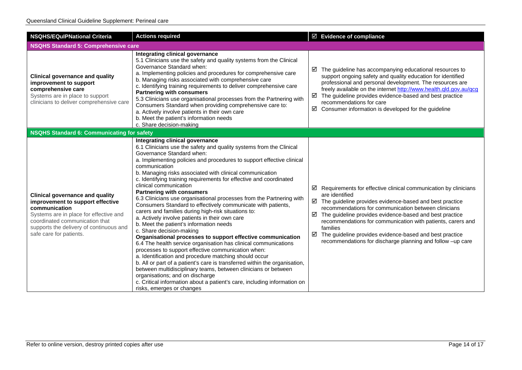| <b>NSQHS/EQulPNational Criteria</b>                                                                                                                                                                                                           | <b>Actions required</b>                                                                                                                                                                                                                                                                                                                                                                                                                                                                                                                                                                                                                                                                                                                                                                                                                                                                                                                                                                                                                                                                                                                                                                                                                                                                            | ☑ Evidence of compliance                                                                                                                                                                                                                                                                                                                                                                                                                                                                       |
|-----------------------------------------------------------------------------------------------------------------------------------------------------------------------------------------------------------------------------------------------|----------------------------------------------------------------------------------------------------------------------------------------------------------------------------------------------------------------------------------------------------------------------------------------------------------------------------------------------------------------------------------------------------------------------------------------------------------------------------------------------------------------------------------------------------------------------------------------------------------------------------------------------------------------------------------------------------------------------------------------------------------------------------------------------------------------------------------------------------------------------------------------------------------------------------------------------------------------------------------------------------------------------------------------------------------------------------------------------------------------------------------------------------------------------------------------------------------------------------------------------------------------------------------------------------|------------------------------------------------------------------------------------------------------------------------------------------------------------------------------------------------------------------------------------------------------------------------------------------------------------------------------------------------------------------------------------------------------------------------------------------------------------------------------------------------|
| <b>NSQHS Standard 5: Comprehensive care</b>                                                                                                                                                                                                   |                                                                                                                                                                                                                                                                                                                                                                                                                                                                                                                                                                                                                                                                                                                                                                                                                                                                                                                                                                                                                                                                                                                                                                                                                                                                                                    |                                                                                                                                                                                                                                                                                                                                                                                                                                                                                                |
| <b>Clinical governance and quality</b><br>improvement to support<br>comprehensive care<br>Systems are in place to support<br>clinicians to deliver comprehensive care                                                                         | Integrating clinical governance<br>5.1 Clinicians use the safety and quality systems from the Clinical<br>Governance Standard when:<br>a. Implementing policies and procedures for comprehensive care<br>b. Managing risks associated with comprehensive care<br>c. Identifying training requirements to deliver comprehensive care<br><b>Partnering with consumers</b><br>5.3 Clinicians use organisational processes from the Partnering with<br>Consumers Standard when providing comprehensive care to:<br>a. Actively involve patients in their own care<br>b. Meet the patient's information needs<br>c. Share decision-making                                                                                                                                                                                                                                                                                                                                                                                                                                                                                                                                                                                                                                                               | $\boxtimes$ The guideline has accompanying educational resources to<br>support ongoing safety and quality education for identified<br>professional and personal development. The resources are<br>freely available on the internet http://www.health.qld.gov.au/qcg<br>$\boxtimes$ The guideline provides evidence-based and best practice<br>recommendations for care<br>$\boxtimes$ Consumer information is developed for the guideline                                                      |
| <b>NSQHS Standard 6: Communicating for safety</b>                                                                                                                                                                                             |                                                                                                                                                                                                                                                                                                                                                                                                                                                                                                                                                                                                                                                                                                                                                                                                                                                                                                                                                                                                                                                                                                                                                                                                                                                                                                    |                                                                                                                                                                                                                                                                                                                                                                                                                                                                                                |
| <b>Clinical governance and quality</b><br>improvement to support effective<br>communication<br>Systems are in place for effective and<br>coordinated communication that<br>supports the delivery of continuous and<br>safe care for patients. | Integrating clinical governance<br>6.1 Clinicians use the safety and quality systems from the Clinical<br>Governance Standard when:<br>a. Implementing policies and procedures to support effective clinical<br>communication<br>b. Managing risks associated with clinical communication<br>c. Identifying training requirements for effective and coordinated<br>clinical communication<br><b>Partnering with consumers</b><br>6.3 Clinicians use organisational processes from the Partnering with<br>Consumers Standard to effectively communicate with patients,<br>carers and families during high-risk situations to:<br>a. Actively involve patients in their own care<br>b. Meet the patient's information needs<br>c. Share decision-making<br>Organisational processes to support effective communication<br>6.4 The health service organisation has clinical communications<br>processes to support effective communication when:<br>a. Identification and procedure matching should occur<br>b. All or part of a patient's care is transferred within the organisation,<br>between multidisciplinary teams, between clinicians or between<br>organisations; and on discharge<br>c. Critical information about a patient's care, including information on<br>risks, emerges or changes | Requirements for effective clinical communication by clinicians<br>☑<br>are identified<br>$\boxtimes$ The guideline provides evidence-based and best practice<br>recommendations for communication between clinicians<br>☑<br>The guideline provides evidence-based and best practice<br>recommendations for communication with patients, carers and<br>families<br>The guideline provides evidence-based and best practice<br>☑<br>recommendations for discharge planning and follow -up care |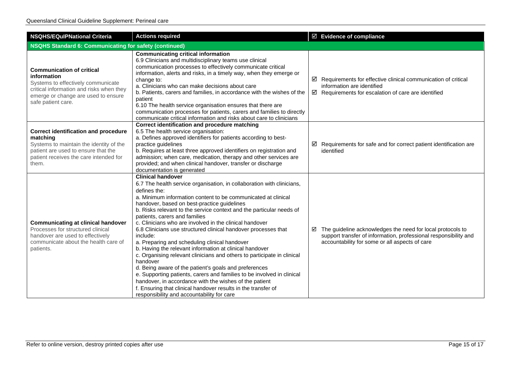| <b>NSQHS/EQuIPNational Criteria</b>                                                                                                                                                            | <b>Actions required</b>                                                                                                                                                                                                                                                                                                                                                                                                                                                                                                                                                                                                                                                                                                                                                                                                                                                                                                                                                                             | ☑ Evidence of compliance                                                                                                                                                              |  |  |
|------------------------------------------------------------------------------------------------------------------------------------------------------------------------------------------------|-----------------------------------------------------------------------------------------------------------------------------------------------------------------------------------------------------------------------------------------------------------------------------------------------------------------------------------------------------------------------------------------------------------------------------------------------------------------------------------------------------------------------------------------------------------------------------------------------------------------------------------------------------------------------------------------------------------------------------------------------------------------------------------------------------------------------------------------------------------------------------------------------------------------------------------------------------------------------------------------------------|---------------------------------------------------------------------------------------------------------------------------------------------------------------------------------------|--|--|
| <b>NSQHS Standard 6: Communicating for safety (continued)</b>                                                                                                                                  |                                                                                                                                                                                                                                                                                                                                                                                                                                                                                                                                                                                                                                                                                                                                                                                                                                                                                                                                                                                                     |                                                                                                                                                                                       |  |  |
| <b>Communication of critical</b><br>information<br>Systems to effectively communicate<br>critical information and risks when they<br>emerge or change are used to ensure<br>safe patient care. | <b>Communicating critical information</b><br>6.9 Clinicians and multidisciplinary teams use clinical<br>communication processes to effectively communicate critical<br>information, alerts and risks, in a timely way, when they emerge or<br>change to:<br>a. Clinicians who can make decisions about care<br>b. Patients, carers and families, in accordance with the wishes of the<br>patient<br>6.10 The health service organisation ensures that there are<br>communication processes for patients, carers and families to directly<br>communicate critical information and risks about care to clinicians                                                                                                                                                                                                                                                                                                                                                                                     | $\boxtimes$ Requirements for effective clinical communication of critical<br>information are identified<br>$\boxtimes$ Requirements for escalation of care are identified             |  |  |
| <b>Correct identification and procedure</b><br>matching<br>Systems to maintain the identity of the<br>patient are used to ensure that the<br>patient receives the care intended for<br>them.   | Correct identification and procedure matching<br>6.5 The health service organisation:<br>a. Defines approved identifiers for patients according to best-<br>practice guidelines<br>b. Requires at least three approved identifiers on registration and<br>admission; when care, medication, therapy and other services are<br>provided; and when clinical handover, transfer or discharge<br>documentation is generated                                                                                                                                                                                                                                                                                                                                                                                                                                                                                                                                                                             | $\boxtimes$ Requirements for safe and for correct patient identification are<br>identified                                                                                            |  |  |
| <b>Communicating at clinical handover</b><br>Processes for structured clinical<br>handover are used to effectively<br>communicate about the health care of<br>patients.                        | <b>Clinical handover</b><br>6.7 The health service organisation, in collaboration with clinicians,<br>defines the:<br>a. Minimum information content to be communicated at clinical<br>handover, based on best-practice guidelines<br>b. Risks relevant to the service context and the particular needs of<br>patients, carers and families<br>c. Clinicians who are involved in the clinical handover<br>6.8 Clinicians use structured clinical handover processes that<br>include:<br>a. Preparing and scheduling clinical handover<br>b. Having the relevant information at clinical handover<br>c. Organising relevant clinicians and others to participate in clinical<br>handover<br>d. Being aware of the patient's goals and preferences<br>e. Supporting patients, carers and families to be involved in clinical<br>handover, in accordance with the wishes of the patient<br>f. Ensuring that clinical handover results in the transfer of<br>responsibility and accountability for care | The guideline acknowledges the need for local protocols to<br>☑<br>support transfer of information, professional responsibility and<br>accountability for some or all aspects of care |  |  |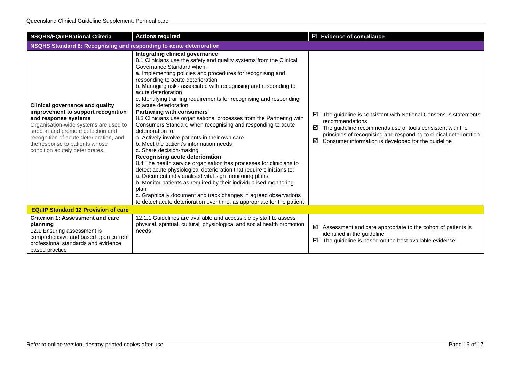| <b>NSQHS/EQulPNational Criteria</b>                                                                                                                                                                                                                                                                | <b>Actions required</b>                                                                                                                                                                                                                                                                                                                                                                                                                                                                                                                                                                                                                                                                                                                                                                                                                                                                                                                                                                                                                                                                                                                                                                                                              | $\boxtimes$ Evidence of compliance                                                                                                                                                                                                                                                         |  |  |
|----------------------------------------------------------------------------------------------------------------------------------------------------------------------------------------------------------------------------------------------------------------------------------------------------|--------------------------------------------------------------------------------------------------------------------------------------------------------------------------------------------------------------------------------------------------------------------------------------------------------------------------------------------------------------------------------------------------------------------------------------------------------------------------------------------------------------------------------------------------------------------------------------------------------------------------------------------------------------------------------------------------------------------------------------------------------------------------------------------------------------------------------------------------------------------------------------------------------------------------------------------------------------------------------------------------------------------------------------------------------------------------------------------------------------------------------------------------------------------------------------------------------------------------------------|--------------------------------------------------------------------------------------------------------------------------------------------------------------------------------------------------------------------------------------------------------------------------------------------|--|--|
| NSQHS Standard 8: Recognising and responding to acute deterioration                                                                                                                                                                                                                                |                                                                                                                                                                                                                                                                                                                                                                                                                                                                                                                                                                                                                                                                                                                                                                                                                                                                                                                                                                                                                                                                                                                                                                                                                                      |                                                                                                                                                                                                                                                                                            |  |  |
| <b>Clinical governance and quality</b><br>improvement to support recognition<br>and response systems<br>Organisation-wide systems are used to<br>support and promote detection and<br>recognition of acute deterioration, and<br>the response to patients whose<br>condition acutely deteriorates. | Integrating clinical governance<br>8.1 Clinicians use the safety and quality systems from the Clinical<br>Governance Standard when:<br>a. Implementing policies and procedures for recognising and<br>responding to acute deterioration<br>b. Managing risks associated with recognising and responding to<br>acute deterioration<br>c. Identifying training requirements for recognising and responding<br>to acute deterioration<br><b>Partnering with consumers</b><br>8.3 Clinicians use organisational processes from the Partnering with<br>Consumers Standard when recognising and responding to acute<br>deterioration to:<br>a. Actively involve patients in their own care<br>b. Meet the patient's information needs<br>c. Share decision-making<br>Recognising acute deterioration<br>8.4 The health service organisation has processes for clinicians to<br>detect acute physiological deterioration that require clinicians to:<br>a. Document individualised vital sign monitoring plans<br>b. Monitor patients as required by their individualised monitoring<br>plan<br>c. Graphically document and track changes in agreed observations<br>to detect acute deterioration over time, as appropriate for the patient | The guideline is consistent with National Consensus statements<br>⊻<br>recommendations<br>The guideline recommends use of tools consistent with the<br>☑<br>principles of recognising and responding to clinical deterioration<br>☑<br>Consumer information is developed for the guideline |  |  |
| <b>EQuIP Standard 12 Provision of care</b>                                                                                                                                                                                                                                                         |                                                                                                                                                                                                                                                                                                                                                                                                                                                                                                                                                                                                                                                                                                                                                                                                                                                                                                                                                                                                                                                                                                                                                                                                                                      |                                                                                                                                                                                                                                                                                            |  |  |
| <b>Criterion 1: Assessment and care</b><br>planning<br>12.1 Ensuring assessment is<br>comprehensive and based upon current<br>professional standards and evidence<br>based practice                                                                                                                | 12.1.1 Guidelines are available and accessible by staff to assess<br>physical, spiritual, cultural, physiological and social health promotion<br>needs                                                                                                                                                                                                                                                                                                                                                                                                                                                                                                                                                                                                                                                                                                                                                                                                                                                                                                                                                                                                                                                                               | ☑<br>Assessment and care appropriate to the cohort of patients is<br>identified in the guideline<br>☑<br>The guideline is based on the best available evidence                                                                                                                             |  |  |